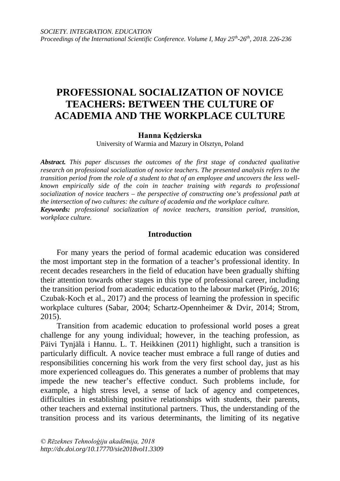# **PROFESSIONAL SOCIALIZATION OF NOVICE TEACHERS: BETWEEN THE CULTURE OF ACADEMIA AND THE WORKPLACE CULTURE**

### **Hanna Kędzierska**

University of Warmia and Mazury in Olsztyn, Poland

*Abstract. This paper discusses the outcomes of the first stage of conducted qualitative research on professional socialization of novice teachers. The presented analysis refers to the transition period from the role of a student to that of an employee and uncovers the less wellknown empirically side of the coin in teacher training with regards to professional socialization of novice teachers – the perspective of constructing one's professional path at the intersection of two cultures: the culture of academia and the workplace culture. Keywords: professional socialization of novice teachers, transition period, transition, workplace culture.*

#### **Introduction**

For many years the period of formal academic education was considered the most important step in the formation of a teacher's professional identity. In recent decades researchers in the field of education have been gradually shifting their attention towards other stages in this type of professional career, including the transition period from academic education to the labour market (Piróg, 2016; Czubak-Koch et al., 2017) and the process of learning the profession in specific workplace cultures (Sabar, 2004; Schartz-Opennheimer & Dvir, 2014; Strom, 2015).

Transition from academic education to professional world poses a great challenge for any young individual; however, in the teaching profession, as Päivi Tynjälä i Hannu. L. T. Heikkinen (2011) highlight, such a transition is particularly difficult. A novice teacher must embrace a full range of duties and responsibilities concerning his work from the very first school day, just as his more experienced colleagues do. This generates a number of problems that may impede the new teacher's effective conduct. Such problems include, for example, a high stress level, a sense of lack of agency and competences, difficulties in establishing positive relationships with students, their parents, other teachers and external institutional partners. Thus, the understanding of the transition process and its various determinants, the limiting of its negative

*© Rēzeknes Tehnoloģiju akadēmija, 2018 <http://dx.doi.org/10.17770/sie2018vol1.3309>*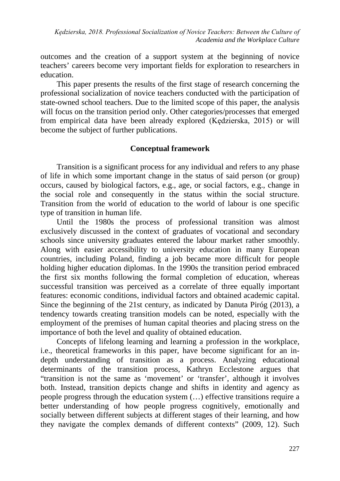outcomes and the creation of a support system at the beginning of novice teachers' careers become very important fields for exploration to researchers in education.

This paper presents the results of the first stage of research concerning the professional socialization of novice teachers conducted with the participation of state-owned school teachers. Due to the limited scope of this paper, the analysis will focus on the transition period only. Other categories/processes that emerged from empirical data have been already explored (Kędzierska, 2015) or will become the subject of further publications.

## **Conceptual framework**

Transition is a significant process for any individual and refers to any phase of life in which some important change in the status of said person (or group) occurs, caused by biological factors, e.g., age, or social factors, e.g., change in the social role and consequently in the status within the social structure. Transition from the world of education to the world of labour is one specific type of transition in human life.

Until the 1980s the process of professional transition was almost exclusively discussed in the context of graduates of vocational and secondary schools since university graduates entered the labour market rather smoothly. Along with easier accessibility to university education in many European countries, including Poland, finding a job became more difficult for people holding higher education diplomas. In the 1990s the transition period embraced the first six months following the formal completion of education, whereas successful transition was perceived as a correlate of three equally important features: economic conditions, individual factors and obtained academic capital. Since the beginning of the 21st century, as indicated by Danuta Piróg (2013), a tendency towards creating transition models can be noted, especially with the employment of the premises of human capital theories and placing stress on the importance of both the level and quality of obtained education.

Concepts of lifelong learning and learning a profession in the workplace, i.e., theoretical frameworks in this paper, have become significant for an indepth understanding of transition as a process. Analyzing educational determinants of the transition process, Kathryn Ecclestone argues that "transition is not the same as 'movement' or 'transfer', although it involves both. Instead, transition depicts change and shifts in identity and agency as people progress through the education system (…) effective transitions require a better understanding of how people progress cognitively, emotionally and socially between different subjects at different stages of their learning, and how they navigate the complex demands of different contexts" (2009, 12). Such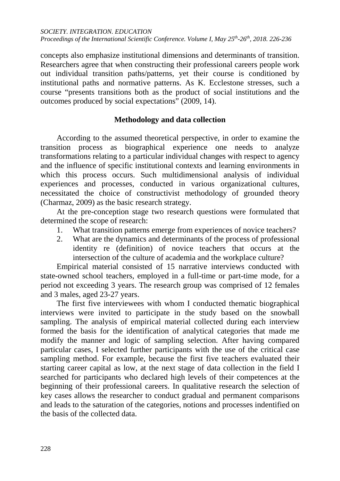concepts also emphasize institutional dimensions and determinants of transition. Researchers agree that when constructing their professional careers people work out individual transition paths/patterns, yet their course is conditioned by institutional paths and normative patterns. As K. Ecclestone stresses, such a course "presents transitions both as the product of social institutions and the outcomes produced by social expectations" (2009, 14).

## **Methodology and data collection**

According to the assumed theoretical perspective, in order to examine the transition process as biographical experience one needs to analyze transformations relating to a particular individual changes with respect to agency and the influence of specific institutional contexts and learning environments in which this process occurs. Such multidimensional analysis of individual experiences and processes, conducted in various organizational cultures, necessitated the choice of constructivist methodology of grounded theory (Charmaz, 2009) as the basic research strategy.

At the pre-conception stage two research questions were formulated that determined the scope of research:

- 1. What transition patterns emerge from experiences of novice teachers?
- 2. What are the dynamics and determinants of the process of professional identity re (definition) of novice teachers that occurs at the intersection of the culture of academia and the workplace culture?

Empirical material consisted of 15 narrative interviews conducted with state-owned school teachers, employed in a full-time or part-time mode, for a period not exceeding 3 years. The research group was comprised of 12 females and 3 males, aged 23-27 years.

The first five interviewees with whom I conducted thematic biographical interviews were invited to participate in the study based on the snowball sampling. The analysis of empirical material collected during each interview formed the basis for the identification of analytical categories that made me modify the manner and logic of sampling selection. After having compared particular cases, I selected further participants with the use of the critical case sampling method. For example, because the first five teachers evaluated their starting career capital as low, at the next stage of data collection in the field I searched for participants who declared high levels of their competences at the beginning of their professional careers. In qualitative research the selection of key cases allows the researcher to conduct gradual and permanent comparisons and leads to the saturation of the categories, notions and processes indentified on the basis of the collected data.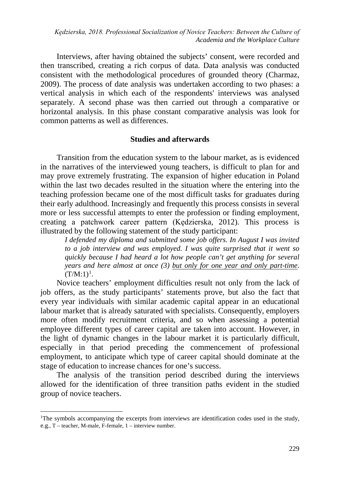*Kędzierska, 2018. Professional Socialization of Novice Teachers: Between the Culture of Academia and the Workplace Culture*

Interviews, after having obtained the subjects' consent, were recorded and then transcribed, creating a rich corpus of data. Data analysis was conducted consistent with the methodological procedures of grounded theory (Charmaz, 2009). The process of date analysis was undertaken according to two phases: a vertical analysis in which each of the respondents' interviews was analysed separately. A second phase was then carried out through a comparative or horizontal analysis. In this phase constant comparative analysis was look for common patterns as well as differences.

### **Studies and afterwards**

Transition from the education system to the labour market, as is evidenced in the narratives of the interviewed young teachers, is difficult to plan for and may prove extremely frustrating. The expansion of higher education in Poland within the last two decades resulted in the situation where the entering into the teaching profession became one of the most difficult tasks for graduates during their early adulthood. Increasingly and frequently this process consists in several more or less successful attempts to enter the profession or finding employment, creating a patchwork career pattern (Kędzierska, 2012). This process is illustrated by the following statement of the study participant:

*I defended my diploma and submitted some job offers. In August I was invited to a job interview and was employed. I was quite surprised that it went so quickly because I had heard a lot how people can't get anything for several years and here almost at once (3) but only for one year and only part-time*.  $(T/M:1)^1$  $(T/M:1)^1$  $(T/M:1)^1$ .

Novice teachers' employment difficulties result not only from the lack of job offers, as the study participants' statements prove, but also the fact that every year individuals with similar academic capital appear in an educational labour market that is already saturated with specialists. Consequently, employers more often modify recruitment criteria, and so when assessing a potential employee different types of career capital are taken into account. However, in the light of dynamic changes in the labour market it is particularly difficult, especially in that period preceding the commencement of professional employment, to anticipate which type of career capital should dominate at the stage of education to increase chances for one's success.

The analysis of the transition period described during the interviews allowed for the identification of three transition paths evident in the studied group of novice teachers.

 $\overline{a}$ 

<span id="page-3-0"></span><sup>&</sup>lt;sup>1</sup>The symbols accompanying the excerpts from interviews are identification codes used in the study, e.g., T – teacher, M-male, F-female, 1 – interview number.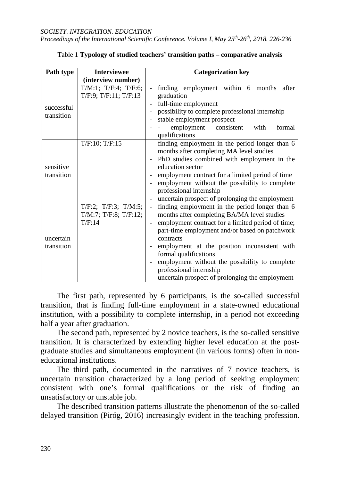*Proceedings of the International Scientific Conference. Volume I, May 25th-26th, 2018. 226-236*

| Path type                | <b>Interviewee</b>                                               | <b>Categorization key</b>                                                                                                                                                                                                                                                                                                                                                                                                                                                |  |  |  |  |
|--------------------------|------------------------------------------------------------------|--------------------------------------------------------------------------------------------------------------------------------------------------------------------------------------------------------------------------------------------------------------------------------------------------------------------------------------------------------------------------------------------------------------------------------------------------------------------------|--|--|--|--|
|                          | (interview number)                                               |                                                                                                                                                                                                                                                                                                                                                                                                                                                                          |  |  |  |  |
| successful<br>transition | $T/M:1$ ; $T/F:4$ ; $T/F:6$ ;<br>$T/F:9$ ; $T/F:11$ ; $T/F:13$   | finding employment within 6 months<br>after<br>$\overline{\phantom{0}}$<br>graduation<br>full-time employment<br>possibility to complete professional internship<br>stable employment prospect<br>$\overline{\phantom{a}}$<br>employment consistent<br>with<br>formal<br>qualifications                                                                                                                                                                                  |  |  |  |  |
| sensitive<br>transition  | T/F:10; T/F:15                                                   | finding employment in the period longer than 6<br>months after completing MA level studies<br>PhD studies combined with employment in the<br>education sector<br>employment contract for a limited period of time<br>employment without the possibility to complete<br>professional internship<br>uncertain prospect of prolonging the employment                                                                                                                        |  |  |  |  |
| uncertain<br>transition  | $T/F:2$ ; $T/F:3$ ; $T/M:5$ ;<br>T/M:7; T/F:8; T/F:12;<br>T/F:14 | finding employment in the period longer than 6<br>$\overline{a}$<br>months after completing BA/MA level studies<br>employment contract for a limited period of time;<br>$\overline{\phantom{a}}$<br>part-time employment and/or based on patchwork<br>contracts<br>employment at the position inconsistent with<br>formal qualifications<br>employment without the possibility to complete<br>professional internship<br>uncertain prospect of prolonging the employment |  |  |  |  |

|  | Table 1 Typology of studied teachers' transition paths – comparative analysis |  |  |  |  |  |
|--|-------------------------------------------------------------------------------|--|--|--|--|--|
|--|-------------------------------------------------------------------------------|--|--|--|--|--|

The first path, represented by 6 participants, is the so-called successful transition, that is finding full-time employment in a state-owned educational institution, with a possibility to complete internship, in a period not exceeding half a year after graduation.

The second path, represented by 2 novice teachers, is the so-called sensitive transition. It is characterized by extending higher level education at the postgraduate studies and simultaneous employment (in various forms) often in noneducational institutions.

The third path, documented in the narratives of 7 novice teachers, is uncertain transition characterized by a long period of seeking employment consistent with one's formal qualifications or the risk of finding an unsatisfactory or unstable job.

The described transition patterns illustrate the phenomenon of the so-called delayed transition (Piróg, 2016) increasingly evident in the teaching profession.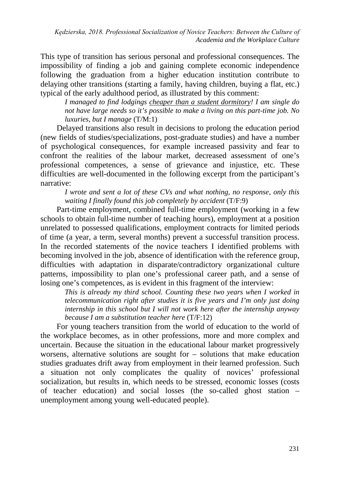*Kędzierska, 2018. Professional Socialization of Novice Teachers: Between the Culture of Academia and the Workplace Culture*

This type of transition has serious personal and professional consequences. The impossibility of finding a job and gaining complete economic independence following the graduation from a higher education institution contribute to delaying other transitions (starting a family, having children, buying a flat, etc.) typical of the early adulthood period, as illustrated by this comment:

*I managed to find lodgings cheaper than a student dormitory! I am single do not have large needs so it's possible to make a living on this part-time job. No luxuries, but I manage* (T/M:1)

Delayed transitions also result in decisions to prolong the education period (new fields of studies/specializations, post-graduate studies) and have a number of psychological consequences, for example increased passivity and fear to confront the realities of the labour market, decreased assessment of one's professional competences, a sense of grievance and injustice, etc. These difficulties are well-documented in the following excerpt from the participant's narrative:

*I wrote and sent a lot of these CVs and what nothing, no response, only this waiting I finally found this job completely by accident* (T/F:9)

Part-time employment, combined full-time employment (working in a few schools to obtain full-time number of teaching hours), employment at a position unrelated to possessed qualifications, employment contracts for limited periods of time (a year, a term, several months) prevent a successful transition process. In the recorded statements of the novice teachers I identified problems with becoming involved in the job, absence of identification with the reference group, difficulties with adaptation in disparate/contradictory organizational culture patterns, impossibility to plan one's professional career path, and a sense of losing one's competences, as is evident in this fragment of the interview:

*This is already my third school. Counting these two years when I worked in telecommunication right after studies it is five years and I'm only just doing internship in this school but I will not work here after the internship anyway because I am a substitution teacher here* (T/F:12)

For young teachers transition from the world of education to the world of the workplace becomes, as in other professions, more and more complex and uncertain. Because the situation in the educational labour market progressively worsens, alternative solutions are sought for – solutions that make education studies graduates drift away from employment in their learned profession. Such a situation not only complicates the quality of novices' professional socialization, but results in, which needs to be stressed, economic losses (costs of teacher education) and social losses (the so-called ghost station – unemployment among young well-educated people).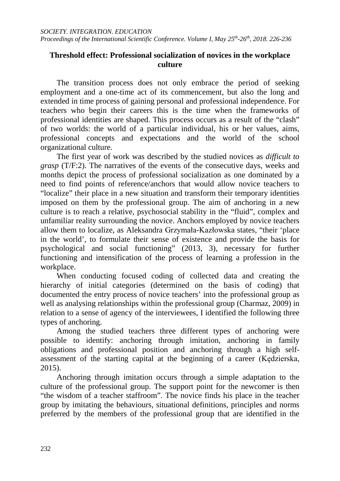## **Threshold effect: Professional socialization of novices in the workplace culture**

The transition process does not only embrace the period of seeking employment and a one-time act of its commencement, but also the long and extended in time process of gaining personal and professional independence. For teachers who begin their careers this is the time when the frameworks of professional identities are shaped. This process occurs as a result of the "clash" of two worlds: the world of a particular individual, his or her values, aims, professional concepts and expectations and the world of the school organizational culture.

The first year of work was described by the studied novices as *difficult to grasp* (T/F:2). The narratives of the events of the consecutive days, weeks and months depict the process of professional socialization as one dominated by a need to find points of reference/anchors that would allow novice teachers to "localize" their place in a new situation and transform their temporary identities imposed on them by the professional group. The aim of anchoring in a new culture is to reach a relative, psychosocial stability in the "fluid", complex and unfamiliar reality surrounding the novice. Anchors employed by novice teachers allow them to localize, as Aleksandra Grzymała-Kazłowska states, "their 'place in the world', to formulate their sense of existence and provide the basis for psychological and social functioning" (2013, 3), necessary for further functioning and intensification of the process of learning a profession in the workplace.

When conducting focused coding of collected data and creating the hierarchy of initial categories (determined on the basis of coding) that documented the entry process of novice teachers' into the professional group as well as analysing relationships within the professional group (Charmaz, 2009) in relation to a sense of agency of the interviewees, I identified the following three types of anchoring.

Among the studied teachers three different types of anchoring were possible to identify: anchoring through imitation, anchoring in family obligations and professional position and anchoring through a high selfassessment of the starting capital at the beginning of a career (Kędzierska, 2015).

Anchoring through imitation occurs through a simple adaptation to the culture of the professional group. The support point for the newcomer is then "the wisdom of a teacher staffroom". The novice finds his place in the teacher group by imitating the behaviours, situational definitions, principles and norms preferred by the members of the professional group that are identified in the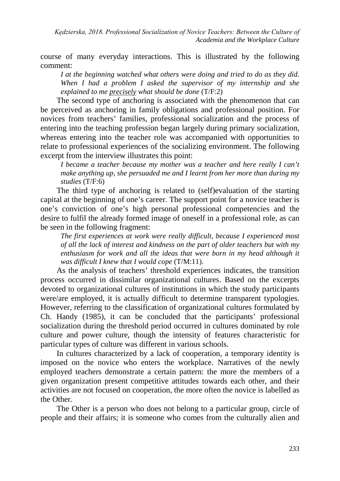*Kędzierska, 2018. Professional Socialization of Novice Teachers: Between the Culture of Academia and the Workplace Culture*

course of many everyday interactions. This is illustrated by the following comment:

*I at the beginning watched what others were doing and tried to do as they did. When I had a problem I asked the supervisor of my internship and she explained to me precisely what should be done* (T/F:2)

The second type of anchoring is associated with the phenomenon that can be perceived as anchoring in family obligations and professional position. For novices from teachers' families, professional socialization and the process of entering into the teaching profession began largely during primary socialization, whereas entering into the teacher role was accompanied with opportunities to relate to professional experiences of the socializing environment. The following excerpt from the interview illustrates this point:

*I became a teacher because my mother was a teacher and here really I can't make anything up, she persuaded me and I learnt from her more than during my studies* (T/F:6)

The third type of anchoring is related to (self)evaluation of the starting capital at the beginning of one's career. The support point for a novice teacher is one's conviction of one's high personal professional competencies and the desire to fulfil the already formed image of oneself in a professional role, as can be seen in the following fragment:

*The first experiences at work were really difficult, because I experienced most of all the lack of interest and kindness on the part of older teachers but with my enthusiasm for work and all the ideas that were born in my head although it was difficult I knew that I would cope* (T/M:11).

As the analysis of teachers' threshold experiences indicates, the transition process occurred in dissimilar organizational cultures. Based on the excerpts devoted to organizational cultures of institutions in which the study participants were/are employed, it is actually difficult to determine transparent typologies. However, referring to the classification of organizational cultures formulated by Ch. Handy (1985), it can be concluded that the participants' professional socialization during the threshold period occurred in cultures dominated by role culture and power culture, though the intensity of features characteristic for particular types of culture was different in various schools.

In cultures characterized by a lack of cooperation, a temporary identity is imposed on the novice who enters the workplace. Narratives of the newly employed teachers demonstrate a certain pattern: the more the members of a given organization present competitive attitudes towards each other, and their activities are not focused on cooperation, the more often the novice is labelled as the Other.

The Other is a person who does not belong to a particular group, circle of people and their affairs; it is someone who comes from the culturally alien and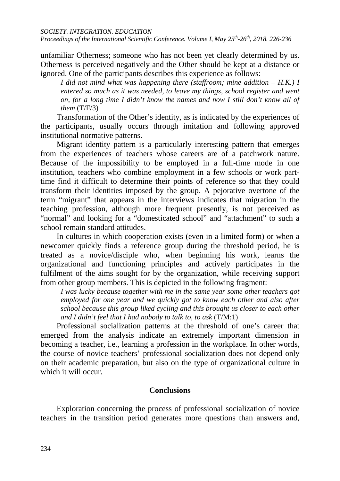*SOCIETY. INTEGRATION. EDUCATION*

*Proceedings of the International Scientific Conference. Volume I, May 25th-26th, 2018. 226-236*

unfamiliar Otherness; someone who has not been yet clearly determined by us. Otherness is perceived negatively and the Other should be kept at a distance or ignored. One of the participants describes this experience as follows:

*I did not mind what was happening there (staffroom; mine addition – H.K.) I entered so much as it was needed, to leave my things, school register and went on, for a long time I didn't know the names and now I still don't know all of them* (T/F/3)

Transformation of the Other's identity, as is indicated by the experiences of the participants, usually occurs through imitation and following approved institutional normative patterns.

Migrant identity pattern is a particularly interesting pattern that emerges from the experiences of teachers whose careers are of a patchwork nature. Because of the impossibility to be employed in a full-time mode in one institution, teachers who combine employment in a few schools or work parttime find it difficult to determine their points of reference so that they could transform their identities imposed by the group. A pejorative overtone of the term "migrant" that appears in the interviews indicates that migration in the teaching profession, although more frequent presently, is not perceived as "normal" and looking for a "domesticated school" and "attachment" to such a school remain standard attitudes.

In cultures in which cooperation exists (even in a limited form) or when a newcomer quickly finds a reference group during the threshold period, he is treated as a novice/disciple who, when beginning his work, learns the organizational and functioning principles and actively participates in the fulfilment of the aims sought for by the organization, while receiving support from other group members. This is depicted in the following fragment:

*I was lucky because together with me in the same year some other teachers got employed for one year and we quickly got to know each other and also after school because this group liked cycling and this brought us closer to each other and I didn't feel that I had nobody to talk to, to ask* (T/M:1)

Professional socialization patterns at the threshold of one's career that emerged from the analysis indicate an extremely important dimension in becoming a teacher, i.e., learning a profession in the workplace. In other words, the course of novice teachers' professional socialization does not depend only on their academic preparation, but also on the type of organizational culture in which it will occur*.* 

## **Conclusions**

Exploration concerning the process of professional socialization of novice teachers in the transition period generates more questions than answers and,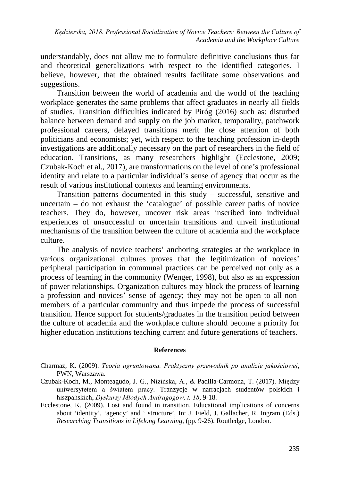understandably, does not allow me to formulate definitive conclusions thus far and theoretical generalizations with respect to the identified categories. I believe, however, that the obtained results facilitate some observations and suggestions.

Transition between the world of academia and the world of the teaching workplace generates the same problems that affect graduates in nearly all fields of studies. Transition difficulties indicated by Piróg (2016) such as: disturbed balance between demand and supply on the job market, temporality, patchwork professional careers, delayed transitions merit the close attention of both politicians and economists; yet, with respect to the teaching profession in-depth investigations are additionally necessary on the part of researchers in the field of education. Transitions, as many researchers highlight (Ecclestone, 2009; Czubak-Koch et al., 2017), are transformations on the level of one's professional identity and relate to a particular individual's sense of agency that occur as the result of various institutional contexts and learning environments.

Transition patterns documented in this study – successful, sensitive and uncertain – do not exhaust the 'catalogue' of possible career paths of novice teachers. They do, however, uncover risk areas inscribed into individual experiences of unsuccessful or uncertain transitions and unveil institutional mechanisms of the transition between the culture of academia and the workplace culture.

The analysis of novice teachers' anchoring strategies at the workplace in various organizational cultures proves that the legitimization of novices' peripheral participation in communal practices can be perceived not only as a process of learning in the community (Wenger, 1998), but also as an expression of power relationships. Organization cultures may block the process of learning a profession and novices' sense of agency; they may not be open to all nonmembers of a particular community and thus impede the process of successful transition. Hence support for students/graduates in the transition period between the culture of academia and the workplace culture should become a priority for higher education institutions teaching current and future generations of teachers.

#### **References**

- Charmaz, K. (2009). *Teoria ugruntowana. Praktyczny przewodnik po analizie jakościowej*, PWN, Warszawa.
- Czubak-Koch, M., Monteagudo, J. G., Nizińska, A., & Padilla-Carmona, T. (2017). Między uniwersytetem a światem pracy. Tranzycje w narracjach studentów polskich i hiszpańskich, *Dyskursy Młodych Andragogów, t. 18*, 9-18.
- Ecclestone, K. (2009). Lost and found in transition. Educational implications of concerns about 'identity', 'agency' and ' structure', In: J. Field, J. Gallacher, R. Ingram (Eds.) *Researching Transitions in Lifelong Learning*, (pp. 9-26). Routledge, London.